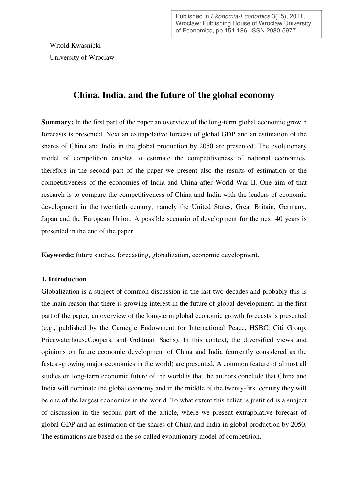Published in Ekonomia-Economics 3(15), 2011, Wroclaw: Publishing House of Wroclaw University of Economics, pp.154-186, ISSN 2080-5977

Witold Kwasnicki University of Wroclaw

# **China, India, and the future of the global economy**

**Summary:** In the first part of the paper an overview of the long-term global economic growth forecasts is presented. Next an extrapolative forecast of global GDP and an estimation of the shares of China and India in the global production by 2050 are presented. The evolutionary model of competition enables to estimate the competitiveness of national economies, therefore in the second part of the paper we present also the results of estimation of the competitiveness of the economies of India and China after World War II. One aim of that research is to compare the competitiveness of China and India with the leaders of economic development in the twentieth century, namely the United States, Great Britain, Germany, Japan and the European Union. A possible scenario of development for the next 40 years is presented in the end of the paper.

**Keywords:** future studies, forecasting, globalization, economic development.

# **1. Introduction**

Globalization is a subject of common discussion in the last two decades and probably this is the main reason that there is growing interest in the future of global development. In the first part of the paper, an overview of the long-term global economic growth forecasts is presented (e.g., published by the Carnegie Endowment for International Peace, HSBC, Citi Group, PricewaterhouseCoopers, and Goldman Sachs). In this context, the diversified views and opinions on future economic development of China and India (currently considered as the fastest-growing major economies in the world) are presented. A common feature of almost all studies on long-term economic future of the world is that the authors conclude that China and India will dominate the global economy and in the middle of the twenty-first century they will be one of the largest economies in the world. To what extent this belief is justified is a subject of discussion in the second part of the article, where we present extrapolative forecast of global GDP and an estimation of the shares of China and India in global production by 2050. The estimations are based on the so-called evolutionary model of competition.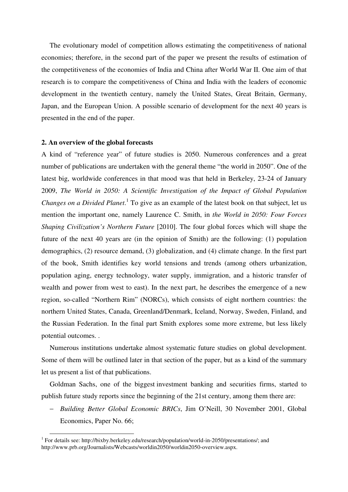The evolutionary model of competition allows estimating the competitiveness of national economies; therefore, in the second part of the paper we present the results of estimation of the competitiveness of the economies of India and China after World War II. One aim of that research is to compare the competitiveness of China and India with the leaders of economic development in the twentieth century, namely the United States, Great Britain, Germany, Japan, and the European Union. A possible scenario of development for the next 40 years is presented in the end of the paper.

#### **2. An overview of the global forecasts**

 $\overline{a}$ 

A kind of "reference year" of future studies is 2050. Numerous conferences and a great number of publications are undertaken with the general theme "the world in 2050". One of the latest big, worldwide conferences in that mood was that held in Berkeley, 23-24 of January 2009, *The World in 2050: A Scientific Investigation of the Impact of Global Population Changes on a Divided Planet*.<sup>1</sup> To give as an example of the latest book on that subject, let us mention the important one, namely Laurence C. Smith, in *the World in 2050: Four Forces Shaping Civilization's Northern Future* [2010]. The four global forces which will shape the future of the next 40 years are (in the opinion of Smith) are the following: (1) population demographics, (2) resource demand, (3) globalization, and (4) climate change. In the first part of the book, Smith identifies key world tensions and trends (among others urbanization, population aging, energy technology, water supply, immigration, and a historic transfer of wealth and power from west to east). In the next part, he describes the emergence of a new region, so-called "Northern Rim" (NORCs), which consists of eight northern countries: the northern United States, Canada, Greenland/Denmark, Iceland, Norway, Sweden, Finland, and the Russian Federation. In the final part Smith explores some more extreme, but less likely potential outcomes. .

Numerous institutions undertake almost systematic future studies on global development. Some of them will be outlined later in that section of the paper, but as a kind of the summary let us present a list of that publications.

Goldman Sachs, one of the biggest investment banking and securities firms, started to publish future study reports since the beginning of the 21st century, among them there are:

− *Building Better Global Economic BRICs*, Jim O'Neill, 30 November 2001, Global Economics, Paper No. 66;

<sup>&</sup>lt;sup>1</sup> For details see: http://bixby.berkeley.edu/research/population/world-in-2050/presentations/; and http://www.prb.org/Journalists/Webcasts/worldin2050/worldin2050-overview.aspx.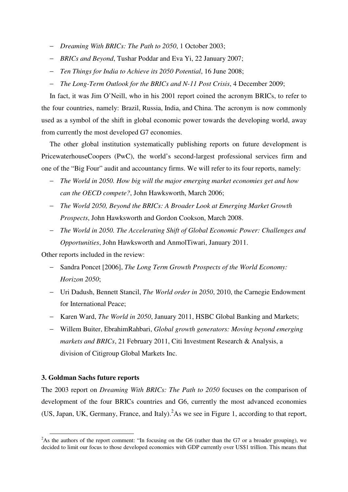- − *Dreaming With BRICs: The Path to 2050*, 1 October 2003;
- − *BRICs and Beyond*, Tushar Poddar and Eva Yi, 22 January 2007;
- − *Ten Things for India to Achieve its 2050 Potential*, 16 June 2008;
- − *The Long-Term Outlook for the BRICs and N-11 Post Crisis*, 4 December 2009;

In fact, it was Jim O'Neill, who in his 2001 report coined the acronym BRICs, to refer to the four countries, namely: Brazil, Russia, India, and China. The acronym is now commonly used as a symbol of the shift in global economic power towards the developing world, away from currently the most developed G7 economies.

The other global institution systematically publishing reports on future development is PricewaterhouseCoopers (PwC), the world's second-largest professional services firm and one of the "Big Four" audit and accountancy firms. We will refer to its four reports, namely:

- − *The World in 2050. How big will the major emerging market economies get and how can the OECD compete?*, John Hawksworth, March 2006;
- − *The World 2050, Beyond the BRICs: A Broader Look at Emerging Market Growth Prospects*, John Hawksworth and Gordon Cookson, March 2008.
- − *The World in 2050. The Accelerating Shift of Global Economic Power: Challenges and Opportunities*, John Hawksworth and AnmolTiwari, January 2011.

Other reports included in the review:

- Sandra Poncet [2006], *The Long Term Growth Prospects of the World Economy: Horizon 2050*;
- − Uri Dadush, Bennett Stancil, *The World order in 2050*, 2010, the Carnegie Endowment for International Peace;
- − Karen Ward, *The World in 2050*, January 2011, HSBC Global Banking and Markets;
- − Willem Buiter, EbrahimRahbari, *Global growth generators: Moving beyond emerging markets and BRICs*, 21 February 2011, Citi Investment Research & Analysis, a division of Citigroup Global Markets Inc.

# **3. Goldman Sachs future reports**

 $\overline{a}$ 

The 2003 report on *Dreaming With BRICs: The Path to 2050* focuses on the comparison of development of the four BRICs countries and G6, currently the most advanced economies (US, Japan, UK, Germany, France, and Italy).  $^{2}$ As we see in Figure 1, according to that report,

<sup>&</sup>lt;sup>2</sup>As the authors of the report comment: "In focusing on the G6 (rather than the G7 or a broader grouping), we decided to limit our focus to those developed economies with GDP currently over US\$1 trillion. This means that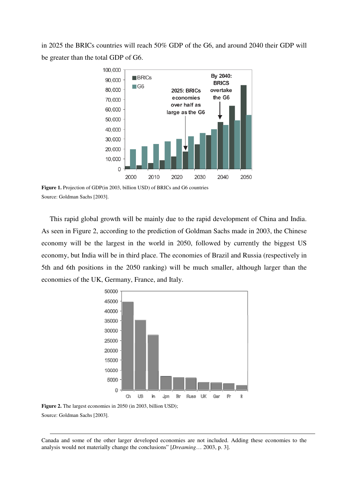in 2025 the BRICs countries will reach 50% GDP of the G6, and around 2040 their GDP will be greater than the total GDP of G6.



**Figure 1.** Projection of GDP(in 2003, billion USD) of BRICs and G6 countries Source: Goldman Sachs [2003].

This rapid global growth will be mainly due to the rapid development of China and India. As seen in Figure 2, according to the prediction of Goldman Sachs made in 2003, the Chinese economy will be the largest in the world in 2050, followed by currently the biggest US economy, but India will be in third place. The economies of Brazil and Russia (respectively in 5th and 6th positions in the 2050 ranking) will be much smaller, although larger than the economies of the UK, Germany, France, and Italy.



**Figure 2.** The largest economies in 2050 (in 2003, billion USD); Source: Goldman Sachs [2003].

-

Canada and some of the other larger developed economies are not included. Adding these economies to the analysis would not materially change the conclusions" [*Dreaming*… 2003, p. 3].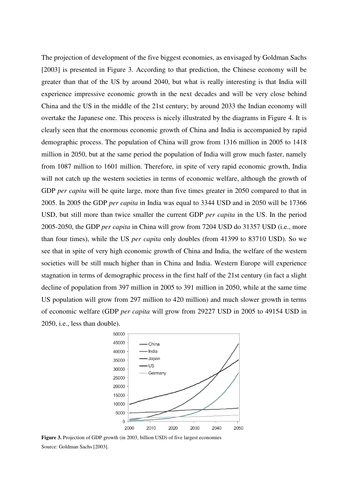The projection of development of the five biggest economies, as envisaged by Goldman Sachs [2003] is presented in Figure 3. According to that prediction, the Chinese economy will be greater than that of the US by around 2040, but what is really interesting is that India will experience impressive economic growth in the next decades and will be very close behind China and the US in the middle of the 21st century; by around 2033 the Indian economy will overtake the Japanese one. This process is nicely illustrated by the diagrams in Figure 4. It is clearly seen that the enormous economic growth of China and India is accompanied by rapid demographic process. The population of China will grow from 1316 million in 2005 to 1418 million in 2050, but at the same period the population of India will grow much faster, namely from 1087 million to 1601 million. Therefore, in spite of very rapid economic growth, India will not catch up the western societies in terms of economic welfare, although the growth of GDP *per capita* will be quite large, more than five times greater in 2050 compared to that in 2005. In 2005 the GDP *per capita* in India was equal to 3344 USD and in 2050 will be 17366 USD, but still more than twice smaller the current GDP *per capita* in the US. In the period 2005-2050, the GDP *per capita* in China will grow from 7204 USD do 31357 USD (i.e., more than four times), while the US *per capita* only doubles (from 41399 to 83710 USD). So we see that in spite of very high economic growth of China and India, the welfare of the western societies will be still much higher than in China and India. Western Europe will experience stagnation in terms of demographic process in the first half of the 21st century (in fact a slight decline of population from 397 million in 2005 to 391 million in 2050, while at the same time US population will grow from 297 million to 420 million) and much slower growth in terms of economic welfare (GDP *per capita* will grow from 29227 USD in 2005 to 49154 USD in 2050, i.e., less than double).



**Figure 3.** Projection of GDP growth (in 2003, billion USD) of five largest economies Source: Goldman Sachs [2003].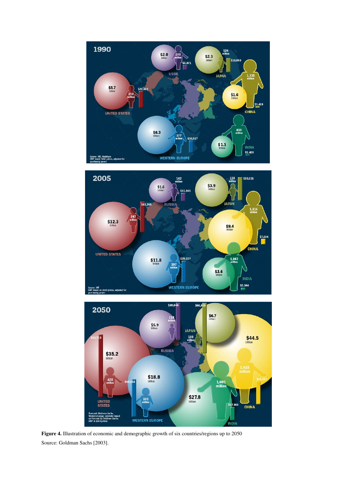





**Figure 4.** Illustration of economic and demographic growth of six countries/regions up to 2050 Source: Goldman Sachs [2003].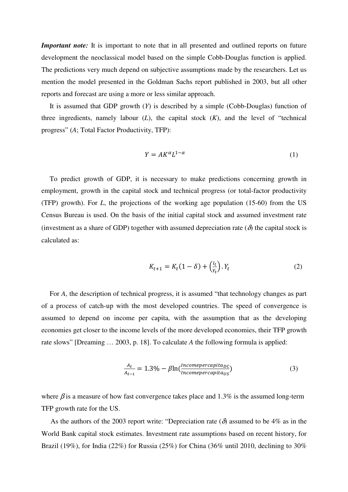*Important note:* It is important to note that in all presented and outlined reports on future development the neoclassical model based on the simple Cobb-Douglas function is applied. The predictions very much depend on subjective assumptions made by the researchers. Let us mention the model presented in the Goldman Sachs report published in 2003, but all other reports and forecast are using a more or less similar approach.

It is assumed that GDP growth (*Y*) is described by a simple (Cobb-Douglas) function of three ingredients, namely labour (*L*), the capital stock (*K*), and the level of "technical progress" (*A*; Total Factor Productivity, TFP):

$$
Y = AK^{\alpha}L^{1-\alpha} \tag{1}
$$

To predict growth of GDP, it is necessary to make predictions concerning growth in employment, growth in the capital stock and technical progress (or total-factor productivity (TFP) growth). For *L*, the projections of the working age population (15-60) from the US Census Bureau is used. On the basis of the initial capital stock and assumed investment rate (investment as a share of GDP) together with assumed depreciation rate  $(\delta)$  the capital stock is calculated as:

$$
K_{t+1} = K_t (1 - \delta) + \left(\frac{l_t}{Y_t}\right) . Y_t \tag{2}
$$

For *A*, the description of technical progress, it is assumed "that technology changes as part of a process of catch-up with the most developed countries. The speed of convergence is assumed to depend on income per capita, with the assumption that as the developing economies get closer to the income levels of the more developed economies, their TFP growth rate slows" [Dreaming … 2003, p. 18]. To calculate *A* the following formula is applied:

$$
\frac{A_t}{A_{t-1}} = 1.3\% - \beta \ln(\frac{Incompercapita_{DC}}{Incompercapita_{US}})
$$
\n(3)

where  $\beta$  is a measure of how fast convergence takes place and 1.3% is the assumed long-term TFP growth rate for the US.

As the authors of the 2003 report write: "Depreciation rate ( $\delta$ ) assumed to be 4% as in the World Bank capital stock estimates. Investment rate assumptions based on recent history, for Brazil (19%), for India (22%) for Russia (25%) for China (36% until 2010, declining to 30%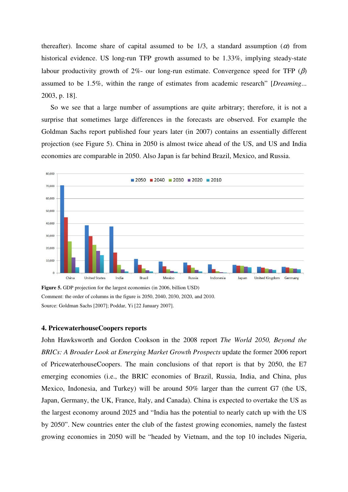thereafter). Income share of capital assumed to be  $1/3$ , a standard assumption ( $\alpha$ ) from historical evidence. US long-run TFP growth assumed to be 1.33%, implying steady-state labour productivity growth of 2%- our long-run estimate. Convergence speed for TFP  $(\beta)$ assumed to be 1.5%, within the range of estimates from academic research" [*Dreaming*... 2003, p. 18].

So we see that a large number of assumptions are quite arbitrary; therefore, it is not a surprise that sometimes large differences in the forecasts are observed. For example the Goldman Sachs report published four years later (in 2007) contains an essentially different projection (see Figure 5). China in 2050 is almost twice ahead of the US, and US and India economies are comparable in 2050. Also Japan is far behind Brazil, Mexico, and Russia.



**Figure 5.** GDP projection for the largest economies (in 2006, billion USD) Comment: the order of columns in the figure is 2050, 2040, 2030, 2020, and 2010. Source: Goldman Sachs [2007]; Poddar, Yi [22 January 2007].

# **4. PricewaterhouseCoopers reports**

John Hawksworth and Gordon Cookson in the 2008 report *The World 2050, Beyond the BRICs: A Broader Look at Emerging Market Growth Prospects* update the former 2006 report of PricewaterhouseCoopers. The main conclusions of that report is that by 2050, the E7 emerging economies (i.e., the BRIC economies of Brazil, Russia, India, and China, plus Mexico, Indonesia, and Turkey) will be around 50% larger than the current G7 (the US, Japan, Germany, the UK, France, Italy, and Canada). China is expected to overtake the US as the largest economy around 2025 and "India has the potential to nearly catch up with the US by 2050". New countries enter the club of the fastest growing economies, namely the fastest growing economies in 2050 will be "headed by Vietnam, and the top 10 includes Nigeria,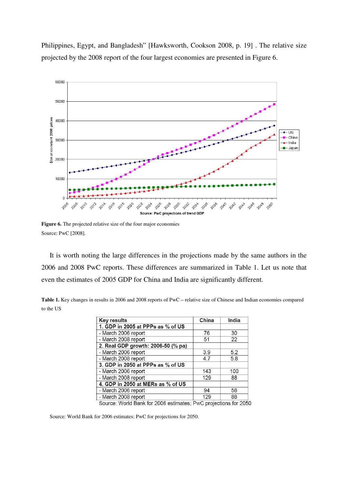Philippines, Egypt, and Bangladesh" [Hawksworth, Cookson 2008, p. 19] . The relative size projected by the 2008 report of the four largest economies are presented in Figure 6.



Figure 6. The projected relative size of the four major economies Source: PwC [2008].

It is worth noting the large differences in the projections made by the same authors in the 2006 and 2008 PwC reports. These differences are summarized in Table 1. Let us note that even the estimates of 2005 GDP for China and India are significantly different.

**Table 1.** Key changes in results in 2006 and 2008 reports of PwC – relative size of Chinese and Indian economies compared to the US

| China | India                                                           |
|-------|-----------------------------------------------------------------|
|       |                                                                 |
| 76    | 30                                                              |
| 51    | 22                                                              |
|       |                                                                 |
| 3.9   | 5.2                                                             |
| 4.7   | 5.8                                                             |
|       |                                                                 |
| 143   | 100                                                             |
| 129   | 88                                                              |
|       |                                                                 |
| 94    | 58                                                              |
| 129   | 88                                                              |
|       | Source: World Rank for 2006 ostimatos: Bu/C projections for 205 |

Source: World Bank for 2006 estimates; PwC projections for 2050

Source: World Bank for 2006 estimates; PwC for projections for 2050.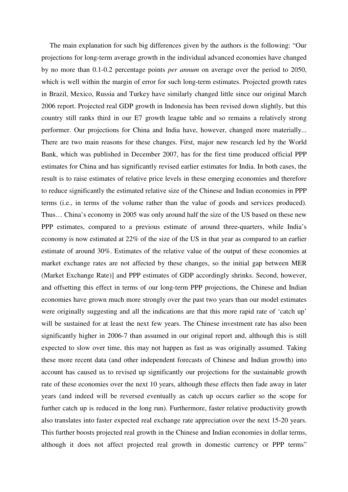The main explanation for such big differences given by the authors is the following: "Our projections for long-term average growth in the individual advanced economies have changed by no more than 0.1-0.2 percentage points *per annum* on average over the period to 2050, which is well within the margin of error for such long-term estimates. Projected growth rates in Brazil, Mexico, Russia and Turkey have similarly changed little since our original March 2006 report. Projected real GDP growth in Indonesia has been revised down slightly, but this country still ranks third in our E7 growth league table and so remains a relatively strong performer. Our projections for China and India have, however, changed more materially... There are two main reasons for these changes. First, major new research led by the World Bank, which was published in December 2007, has for the first time produced official PPP estimates for China and has significantly revised earlier estimates for India. In both cases, the result is to raise estimates of relative price levels in these emerging economies and therefore to reduce significantly the estimated relative size of the Chinese and Indian economies in PPP terms (i.e., in terms of the volume rather than the value of goods and services produced). Thus… China's economy in 2005 was only around half the size of the US based on these new PPP estimates, compared to a previous estimate of around three-quarters, while India's economy is now estimated at 22% of the size of the US in that year as compared to an earlier estimate of around 30%. Estimates of the relative value of the output of these economies at market exchange rates are not affected by these changes, so the initial gap between MER (Market Exchange Rate)] and PPP estimates of GDP accordingly shrinks. Second, however, and offsetting this effect in terms of our long-term PPP projections, the Chinese and Indian economies have grown much more strongly over the past two years than our model estimates were originally suggesting and all the indications are that this more rapid rate of 'catch up' will be sustained for at least the next few years. The Chinese investment rate has also been significantly higher in 2006-7 than assumed in our original report and, although this is still expected to slow over time, this may not happen as fast as was originally assumed. Taking these more recent data (and other independent forecasts of Chinese and Indian growth) into account has caused us to revised up significantly our projections for the sustainable growth rate of these economies over the next 10 years, although these effects then fade away in later years (and indeed will be reversed eventually as catch up occurs earlier so the scope for further catch up is reduced in the long run). Furthermore, faster relative productivity growth also translates into faster expected real exchange rate appreciation over the next 15-20 years. This further boosts projected real growth in the Chinese and Indian economies in dollar terms, although it does not affect projected real growth in domestic currency or PPP terms"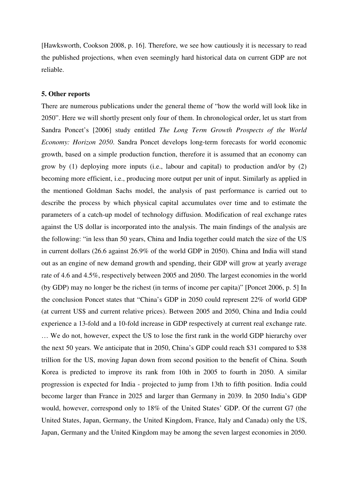[Hawksworth, Cookson 2008, p. 16]. Therefore, we see how cautiously it is necessary to read the published projections, when even seemingly hard historical data on current GDP are not reliable.

# **5. Other reports**

There are numerous publications under the general theme of "how the world will look like in 2050". Here we will shortly present only four of them. In chronological order, let us start from Sandra Poncet's [2006] study entitled *The Long Term Growth Prospects of the World Economy: Horizon 2050*. Sandra Poncet develops long-term forecasts for world economic growth, based on a simple production function, therefore it is assumed that an economy can grow by (1) deploying more inputs (i.e., labour and capital) to production and/or by (2) becoming more efficient, i.e., producing more output per unit of input. Similarly as applied in the mentioned Goldman Sachs model, the analysis of past performance is carried out to describe the process by which physical capital accumulates over time and to estimate the parameters of a catch-up model of technology diffusion. Modification of real exchange rates against the US dollar is incorporated into the analysis. The main findings of the analysis are the following: "in less than 50 years, China and India together could match the size of the US in current dollars (26.6 against 26.9% of the world GDP in 2050). China and India will stand out as an engine of new demand growth and spending, their GDP will grow at yearly average rate of 4.6 and 4.5%, respectively between 2005 and 2050. The largest economies in the world (by GDP) may no longer be the richest (in terms of income per capita)" [Poncet 2006, p. 5] In the conclusion Poncet states that "China's GDP in 2050 could represent 22% of world GDP (at current US\$ and current relative prices). Between 2005 and 2050, China and India could experience a 13-fold and a 10-fold increase in GDP respectively at current real exchange rate. … We do not, however, expect the US to lose the first rank in the world GDP hierarchy over the next 50 years. We anticipate that in 2050, China's GDP could reach \$31 compared to \$38 trillion for the US, moving Japan down from second position to the benefit of China. South Korea is predicted to improve its rank from 10th in 2005 to fourth in 2050. A similar progression is expected for India - projected to jump from 13th to fifth position. India could become larger than France in 2025 and larger than Germany in 2039. In 2050 India's GDP would, however, correspond only to 18% of the United States' GDP. Of the current G7 (the United States, Japan, Germany, the United Kingdom, France, Italy and Canada) only the US, Japan, Germany and the United Kingdom may be among the seven largest economies in 2050.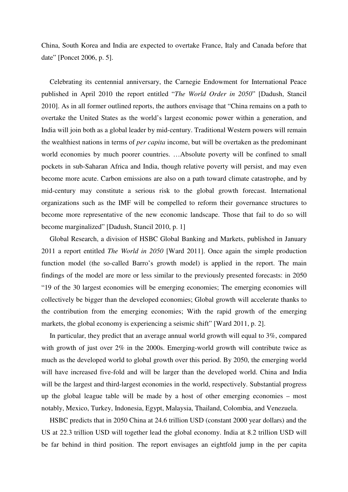China, South Korea and India are expected to overtake France, Italy and Canada before that date" [Poncet 2006, p. 5].

Celebrating its centennial anniversary, the Carnegie Endowment for International Peace published in April 2010 the report entitled "*The World Order in 2050*" [Dadush, Stancil 2010]. As in all former outlined reports, the authors envisage that "China remains on a path to overtake the United States as the world's largest economic power within a generation, and India will join both as a global leader by mid-century. Traditional Western powers will remain the wealthiest nations in terms of *per capita* income, but will be overtaken as the predominant world economies by much poorer countries. …Absolute poverty will be confined to small pockets in sub-Saharan Africa and India, though relative poverty will persist, and may even become more acute. Carbon emissions are also on a path toward climate catastrophe, and by mid-century may constitute a serious risk to the global growth forecast. International organizations such as the IMF will be compelled to reform their governance structures to become more representative of the new economic landscape. Those that fail to do so will become marginalized" [Dadush, Stancil 2010, p. 1]

Global Research, a division of HSBC Global Banking and Markets, published in January 2011 a report entitled *The World in 2050* [Ward 2011]. Once again the simple production function model (the so-called Barro's growth model) is applied in the report. The main findings of the model are more or less similar to the previously presented forecasts: in 2050 "19 of the 30 largest economies will be emerging economies; The emerging economies will collectively be bigger than the developed economies; Global growth will accelerate thanks to the contribution from the emerging economies; With the rapid growth of the emerging markets, the global economy is experiencing a seismic shift" [Ward 2011, p. 2].

In particular, they predict that an average annual world growth will equal to 3%, compared with growth of just over 2% in the 2000s. Emerging-world growth will contribute twice as much as the developed world to global growth over this period. By 2050, the emerging world will have increased five-fold and will be larger than the developed world. China and India will be the largest and third-largest economies in the world, respectively. Substantial progress up the global league table will be made by a host of other emerging economies – most notably, Mexico, Turkey, Indonesia, Egypt, Malaysia, Thailand, Colombia, and Venezuela.

HSBC predicts that in 2050 China at 24.6 trillion USD (constant 2000 year dollars) and the US at 22.3 trillion USD will together lead the global economy. India at 8.2 trillion USD will be far behind in third position. The report envisages an eightfold jump in the per capita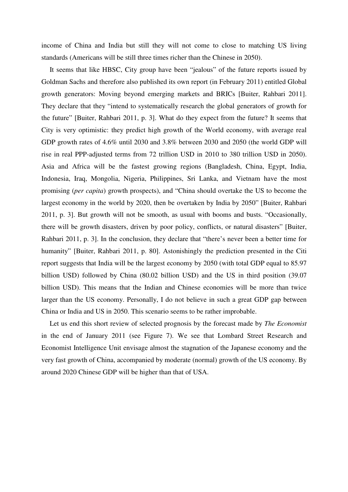income of China and India but still they will not come to close to matching US living standards (Americans will be still three times richer than the Chinese in 2050).

It seems that like HBSC, City group have been "jealous" of the future reports issued by Goldman Sachs and therefore also published its own report (in February 2011) entitled Global growth generators: Moving beyond emerging markets and BRICs [Buiter, Rahbari 2011]. They declare that they "intend to systematically research the global generators of growth for the future" [Buiter, Rahbari 2011, p. 3]. What do they expect from the future? It seems that City is very optimistic: they predict high growth of the World economy, with average real GDP growth rates of 4.6% until 2030 and 3.8% between 2030 and 2050 (the world GDP will rise in real PPP-adjusted terms from 72 trillion USD in 2010 to 380 trillion USD in 2050). Asia and Africa will be the fastest growing regions (Bangladesh, China, Egypt, India, Indonesia, Iraq, Mongolia, Nigeria, Philippines, Sri Lanka, and Vietnam have the most promising (*per capita*) growth prospects), and "China should overtake the US to become the largest economy in the world by 2020, then be overtaken by India by 2050" [Buiter, Rahbari 2011, p. 3]. But growth will not be smooth, as usual with booms and busts. "Occasionally, there will be growth disasters, driven by poor policy, conflicts, or natural disasters" [Buiter, Rahbari 2011, p. 3]. In the conclusion, they declare that "there's never been a better time for humanity" [Buiter, Rahbari 2011, p. 80]. Astonishingly the prediction presented in the Citi report suggests that India will be the largest economy by 2050 (with total GDP equal to 85.97 billion USD) followed by China (80.02 billion USD) and the US in third position (39.07 billion USD). This means that the Indian and Chinese economies will be more than twice larger than the US economy. Personally, I do not believe in such a great GDP gap between China or India and US in 2050. This scenario seems to be rather improbable.

Let us end this short review of selected prognosis by the forecast made by *The Economist* in the end of January 2011 (see Figure 7). We see that Lombard Street Research and Economist Intelligence Unit envisage almost the stagnation of the Japanese economy and the very fast growth of China, accompanied by moderate (normal) growth of the US economy. By around 2020 Chinese GDP will be higher than that of USA.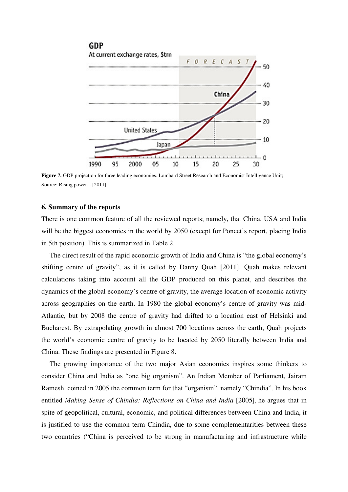

**Figure 7.** GDP projection for three leading economies. Lombard Street Research and Economist Intelligence Unit; Source: Rising power... [2011].

#### **6. Summary of the reports**

There is one common feature of all the reviewed reports; namely, that China, USA and India will be the biggest economies in the world by 2050 (except for Poncet's report, placing India in 5th position). This is summarized in Table 2.

The direct result of the rapid economic growth of India and China is "the global economy's shifting centre of gravity", as it is called by Danny Quah [2011]. Quah makes relevant calculations taking into account all the GDP produced on this planet, and describes the dynamics of the global economy's centre of gravity, the average location of economic activity across geographies on the earth. In 1980 the global economy's centre of gravity was mid-Atlantic, but by 2008 the centre of gravity had drifted to a location east of Helsinki and Bucharest. By extrapolating growth in almost 700 locations across the earth, Quah projects the world's economic centre of gravity to be located by 2050 literally between India and China. These findings are presented in Figure 8.

The growing importance of the two major Asian economies inspires some thinkers to consider China and India as "one big organism". An Indian Member of Parliament, Jairam Ramesh, coined in 2005 the common term for that "organism", namely "Chindia". In his book entitled *Making Sense of Chindia: Reflections on China and India* [2005], he argues that in spite of geopolitical, cultural, economic, and political differences between China and India, it is justified to use the common term Chindia, due to some complementarities between these two countries ("China is perceived to be strong in manufacturing and infrastructure while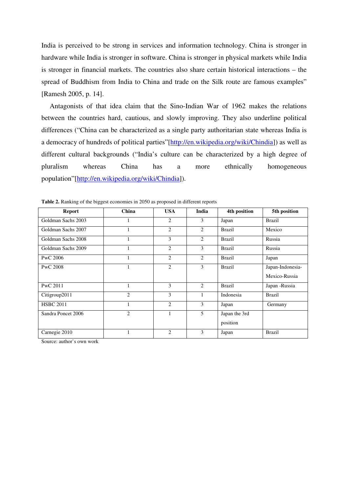India is perceived to be strong in services and information technology. China is stronger in hardware while India is stronger in software. China is stronger in physical markets while India is stronger in financial markets. The countries also share certain historical interactions – the spread of Buddhism from India to China and trade on the Silk route are famous examples" [Ramesh 2005, p. 14].

Antagonists of that idea claim that the Sino-Indian War of 1962 makes the relations between the countries hard, cautious, and slowly improving. They also underline political differences ("China can be characterized as a single party authoritarian state whereas India is a democracy of hundreds of political parties"[http://en.wikipedia.org/wiki/Chindia]) as well as different cultural backgrounds ("India's culture can be characterized by a high degree of pluralism whereas China has a more ethnically homogeneous population"[http://en.wikipedia.org/wiki/Chindia]).

| <b>Report</b>      | China          | <b>USA</b>     | India         | 4th position  | 5th position     |
|--------------------|----------------|----------------|---------------|---------------|------------------|
| Goldman Sachs 2003 |                | $\overline{2}$ | 3             | Japan         | <b>Brazil</b>    |
| Goldman Sachs 2007 |                | $\overline{2}$ | 2             | <b>Brazil</b> | Mexico           |
| Goldman Sachs 2008 |                | 3              | 2             | <b>Brazil</b> | Russia           |
| Goldman Sachs 2009 |                | $\overline{2}$ | 3             | <b>Brazil</b> | Russia           |
| PwC 2006           |                | $\overline{2}$ | 2             | <b>Brazil</b> | Japan            |
| PwC 2008           |                | $\overline{2}$ | 3             | <b>Brazil</b> | Japan-Indonesia- |
|                    |                |                |               |               | Mexico-Russia    |
| PwC 2011           |                | 3              | $\mathcal{L}$ | <b>Brazil</b> | Japan -Russia    |
| Citigroup2011      | $\overline{2}$ | 3              | 1             | Indonesia     | <b>Brazil</b>    |
| <b>HSBC 2011</b>   |                | $\overline{2}$ | 3             | Japan         | Germany          |
| Sandra Poncet 2006 | $\overline{2}$ | 1              | 5             | Japan the 3rd |                  |
|                    |                |                |               | position      |                  |
| Carnegie 2010      |                | $\overline{2}$ | 3             | Japan         | <b>Brazil</b>    |

**Table 2.** Ranking of the biggest economies in 2050 as proposed in different reports

Source: author's own work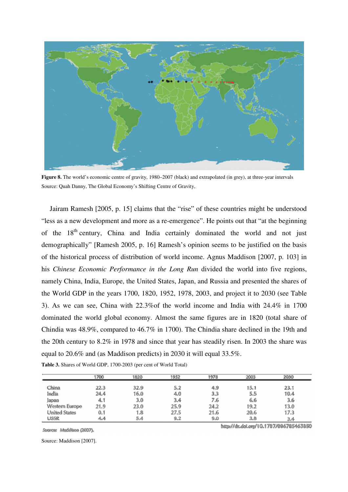

**Figure 8.** The world's economic centre of gravity, 1980–2007 (black) and extrapolated (in grey), at three-year intervals Source: Quah Danny, The Global Economy's Shifting Centre of Gravity,

Jairam Ramesh [2005, p. 15] claims that the "rise" of these countries might be understood "less as a new development and more as a re-emergence". He points out that "at the beginning of the 18<sup>th</sup> century, China and India certainly dominated the world and not just demographically" [Ramesh 2005, p. 16] Ramesh's opinion seems to be justified on the basis of the historical process of distribution of world income. Agnus Maddison [2007, p. 103] in his *Chinese Economic Performance in the Long Run* divided the world into five regions, namely China, India, Europe, the United States, Japan, and Russia and presented the shares of the World GDP in the years 1700, 1820, 1952, 1978, 2003, and project it to 2030 (see Table 3). As we can see, China with 22.3%of the world income and India with 24.4% in 1700 dominated the world global economy. Almost the same figures are in 1820 (total share of Chindia was 48.9%, compared to 46.7% in 1700). The Chindia share declined in the 19th and the 20th century to 8.2% in 1978 and since that year has steadily risen. In 2003 the share was equal to 20.6% and (as Maddison predicts) in 2030 it will equal 33.5%.

|                      | 1700 | 1820 | 1952 | 1978 | 2003                    | 2030 |
|----------------------|------|------|------|------|-------------------------|------|
| China                | 22.3 | 32.9 | 5.2  | 4.9  | 15.1                    | 23.1 |
| India                | 24.4 | 16.0 | 4.0  | 3.3  | $\mathbb{S} \mathbb{S}$ | 10.4 |
| Japan                | 鳳胄   | 3.0  | 3.4  | 76   | 6.6                     | 3.6  |
| Western Europe       | 21.9 | 23.0 | 25.9 | 24.2 | 19.2                    | 13.0 |
| <b>United States</b> | 0.1  | 1.8  | 27.5 | 21.6 | 20.6                    | 17.3 |
| <b>USSR</b>          | 感嘆   | 5.4  | 9.2  | 9.0  | 3.8                     | 34   |

**Table 3.** Shares of World GDP, 1700-2003 (per cent of World Total)

Source: Maddison (2007).

Source: Maddison [2007].

http://dx.doi.org/10.1787/086785463880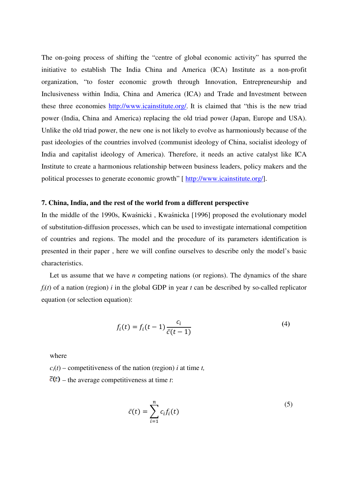The on-going process of shifting the "centre of global economic activity" has spurred the initiative to establish The India China and America (ICA) Institute as a non-profit organization, "to foster economic growth through Innovation, Entrepreneurship and Inclusiveness within India, China and America (ICA) and Trade and Investment between these three economies http://www.icainstitute.org/. It is claimed that "this is the new triad power (India, China and America) replacing the old triad power (Japan, Europe and USA). Unlike the old triad power, the new one is not likely to evolve as harmoniously because of the past ideologies of the countries involved (communist ideology of China, socialist ideology of India and capitalist ideology of America). Therefore, it needs an active catalyst like ICA Institute to create a harmonious relationship between business leaders, policy makers and the political processes to generate economic growth" [ http://www.icainstitute.org/].

#### **7. China, India, and the rest of the world from a different perspective**

In the middle of the 1990s, Kwaśnicki , Kwaśnicka [1996] proposed the evolutionary model of substitution-diffusion processes, which can be used to investigate international competition of countries and regions. The model and the procedure of its parameters identification is presented in their paper , here we will confine ourselves to describe only the model's basic characteristics.

Let us assume that we have *n* competing nations (or regions). The dynamics of the share  $f_i(t)$  of a nation (region) *i* in the global GDP in year *t* can be described by so-called replicator equation (or selection equation):

$$
f_i(t) = f_i(t-1)\frac{c_i}{\bar{c}(t-1)}
$$
\n(4)

where

 $c_i(t)$  – competitiveness of the nation (region) *i* at time *t*,

 $\overline{c}(t)$  – the average competitiveness at time *t*:

$$
\bar{c}(t) = \sum_{i=1}^{n} c_i f_i(t) \tag{5}
$$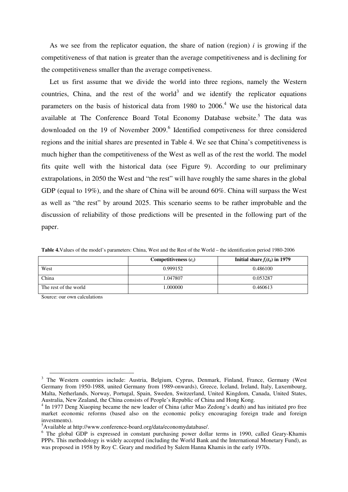As we see from the replicator equation, the share of nation (region) *i* is growing if the competitiveness of that nation is greater than the average competitiveness and is declining for the competitiveness smaller than the average competiveness.

Let us first assume that we divide the world into three regions, namely the Western countries, China, and the rest of the world<sup>3</sup> and we identify the replicator equations parameters on the basis of historical data from 1980 to  $2006<sup>4</sup>$  We use the historical data available at The Conference Board Total Economy Database website.<sup>5</sup> The data was downloaded on the 19 of November 2009.<sup>6</sup> Identified competiveness for three considered regions and the initial shares are presented in Table 4. We see that China's competitiveness is much higher than the competitiveness of the West as well as of the rest the world. The model fits quite well with the historical data (see Figure 9). According to our preliminary extrapolations, in 2050 the West and "the rest" will have roughly the same shares in the global GDP (equal to 19%), and the share of China will be around 60%. China will surpass the West as well as "the rest" by around 2025. This scenario seems to be rather improbable and the discussion of reliability of those predictions will be presented in the following part of the paper.

|                       | Competitiveness $(c_i)$ | Initial share $f_i(t_0)$ in 1979 |
|-----------------------|-------------------------|----------------------------------|
| West                  | 0.999152                | 0.486100                         |
| China                 | 1.047807                | 0.053287                         |
| The rest of the world | 000000.1                | 0.460613                         |

**Table 4.**Values of the model's parameters: China, West and the Rest of the World – the identification period 1980-2006

Source: our own calculations

 $\overline{a}$ 

<sup>&</sup>lt;sup>3</sup> The Western countries include: Austria, Belgium, Cyprus, Denmark, Finland, France, Germany (West Germany from 1950-1988, united Germany from 1989-onwards), Greece, Iceland, Ireland, Italy, Luxembourg, Malta, Netherlands, Norway, Portugal, Spain, Sweden, Switzerland, United Kingdom, Canada, United States, Australia, New Zealand, the China consists of People's Republic of China and Hong Kong.

<sup>&</sup>lt;sup>4</sup> In 1977 Deng Xiaoping became the new leader of China (after Mao Zedong's death) and has initiated pro free market economic reforms (based also on the economic policy encouraging foreign trade and foreign investments).

<sup>5</sup>Available at http://www.conference-board.org/data/economydatabase/.

<sup>&</sup>lt;sup>6</sup> The global GDP is expressed in constant purchasing power dollar terms in 1990, called Geary-Khamis PPPs. This methodology is widely accepted (including the World Bank and the International Monetary Fund), as was proposed in 1958 by Roy C. Geary and modified by Salem Hanna Khamis in the early 1970s.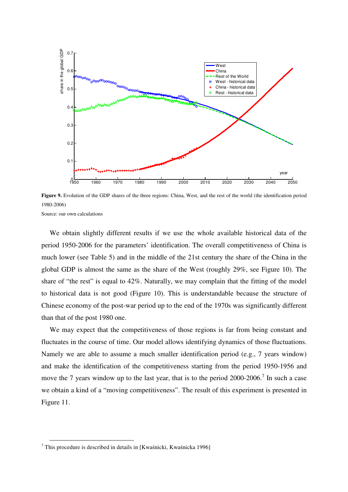

**Figure 9.** Evolution of the GDP shares of the three regions: China, West, and the rest of the world (the identification period 1980-2006) Source: our own calculations

We obtain slightly different results if we use the whole available historical data of the period 1950-2006 for the parameters' identification. The overall competitiveness of China is much lower (see Table 5) and in the middle of the 21st century the share of the China in the global GDP is almost the same as the share of the West (roughly 29%, see Figure 10). The share of "the rest" is equal to 42%. Naturally, we may complain that the fitting of the model to historical data is not good (Figure 10). This is understandable because the structure of Chinese economy of the post-war period up to the end of the 1970s was significantly different than that of the post 1980 one.

We may expect that the competitiveness of those regions is far from being constant and fluctuates in the course of time. Our model allows identifying dynamics of those fluctuations. Namely we are able to assume a much smaller identification period (e.g., 7 years window) and make the identification of the competitiveness starting from the period 1950-1956 and move the 7 years window up to the last year, that is to the period  $2000-2006$ .<sup>7</sup> In such a case we obtain a kind of a "moving competitiveness". The result of this experiment is presented in Figure 11.

 7 This procedure is described in details in [Kwaśnicki, Kwaśnicka 1996]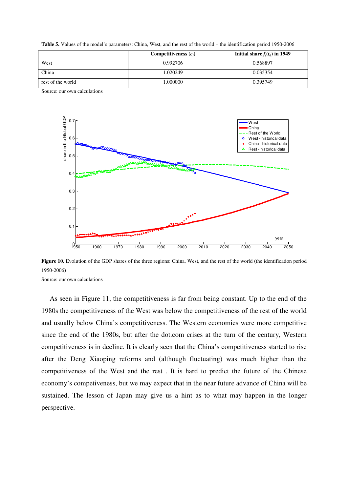**Table 5.** Values of the model's parameters: China, West, and the rest of the world – the identification period 1950-2006

|                   | Competitiveness $(c_i)$ | Initial share $f_i(t_0)$ in 1949 |
|-------------------|-------------------------|----------------------------------|
| West              | 0.992706                | 0.568897                         |
| China             | 1.020249                | 0.035354                         |
| rest of the world | 000000.1                | 0.395749                         |

Source: our own calculations



**Figure 10.** Evolution of the GDP shares of the three regions: China, West, and the rest of the world (the identification period 1950-2006)

Source: our own calculations

As seen in Figure 11, the competitiveness is far from being constant. Up to the end of the 1980s the competitiveness of the West was below the competitiveness of the rest of the world and usually below China's competitiveness. The Western economies were more competitive since the end of the 1980s, but after the dot.com crises at the turn of the century, Western competitiveness is in decline. It is clearly seen that the China's competitiveness started to rise after the Deng Xiaoping reforms and (although fluctuating) was much higher than the competitiveness of the West and the rest . It is hard to predict the future of the Chinese economy's competiveness, but we may expect that in the near future advance of China will be sustained. The lesson of Japan may give us a hint as to what may happen in the longer perspective.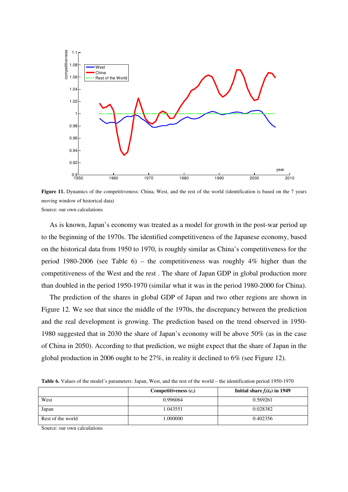

**Figure 11.** Dynamics of the competitiveness: China, West, and the rest of the world (identification is based on the 7 years moving window of historical data) Source: our own calculations

As is known, Japan's economy was treated as a model for growth in the post-war period up to the beginning of the 1970s. The identified competitiveness of the Japanese economy, based on the historical data from 1950 to 1970, is roughly similar as China's competitiveness for the period 1980-2006 (see Table 6) – the competitiveness was roughly 4% higher than the competitiveness of the West and the rest . The share of Japan GDP in global production more than doubled in the period 1950-1970 (similar what it was in the period 1980-2000 for China).

The prediction of the shares in global GDP of Japan and two other regions are shown in Figure 12. We see that since the middle of the 1970s, the discrepancy between the prediction and the real development is growing. The prediction based on the trend observed in 1950- 1980 suggested that in 2030 the share of Japan's economy will be above 50% (as in the case of China in 2050). According to that prediction, we might expect that the share of Japan in the global production in 2006 ought to be 27%, in reality it declined to 6% (see Figure 12).

|  | <b>Table 6.</b> Values of the model's parameters: Japan, West, and the rest of the world – the identification period 1950-1970 |  |  |  |  |  |
|--|--------------------------------------------------------------------------------------------------------------------------------|--|--|--|--|--|
|--|--------------------------------------------------------------------------------------------------------------------------------|--|--|--|--|--|

|                   | Competitiveness $(c_i)$ | Initial share $f_i(t_0)$ in 1949 |
|-------------------|-------------------------|----------------------------------|
| West              | 0.996064                | 0.569261                         |
| Japan             | 1.043551                | 0.028382                         |
| Rest of the world | 1.000000                | 0.402356                         |

Source: our own calculations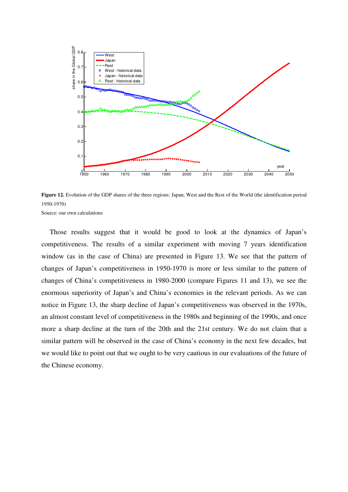

**Figure 12.** Evolution of the GDP shares of the three regions: Japan, West and the Rest of the World (the identification period 1950-1970) Source: our own calculations

Those results suggest that it would be good to look at the dynamics of Japan's competitiveness. The results of a similar experiment with moving 7 years identification window (as in the case of China) are presented in Figure 13. We see that the pattern of changes of Japan's competitiveness in 1950-1970 is more or less similar to the pattern of changes of China's competitiveness in 1980-2000 (compare Figures 11 and 13), we see the enormous superiority of Japan's and China's economies in the relevant periods. As we can notice in Figure 13, the sharp decline of Japan's competitiveness was observed in the 1970s, an almost constant level of competitiveness in the 1980s and beginning of the 1990s, and once more a sharp decline at the turn of the 20th and the 21st century. We do not claim that a similar pattern will be observed in the case of China's economy in the next few decades, but we would like to point out that we ought to be very cautious in our evaluations of the future of the Chinese economy.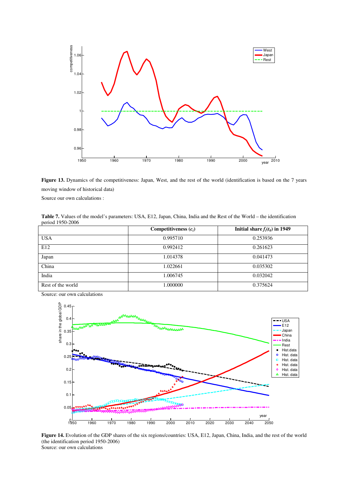

**Figure 13.** Dynamics of the competitiveness: Japan, West, and the rest of the world (identification is based on the 7 years moving window of historical data)

Source our own calculations :

**Table 7.** Values of the model's parameters: USA, E12, Japan, China, India and the Rest of the World – the identification period 1950-2006

|                   | Competitiveness $(c_i)$ | Initial share $f_i(t_0)$ in 1949 |
|-------------------|-------------------------|----------------------------------|
| <b>USA</b>        | 0.995710                | 0.253936                         |
| E12               | 0.992412                | 0.261623                         |
| Japan             | 1.014378                | 0.041473                         |
| China             | 1.022661                | 0.035302                         |
| India             | 1.006745                | 0.032042                         |
| Rest of the world | 1.000000                | 0.375624                         |

Source: our own calculations



**Figure 14.** Evolution of the GDP shares of the six regions/countries: USA, E12, Japan, China, India, and the rest of the world (the identification period 1950-2006) Source: our own calculations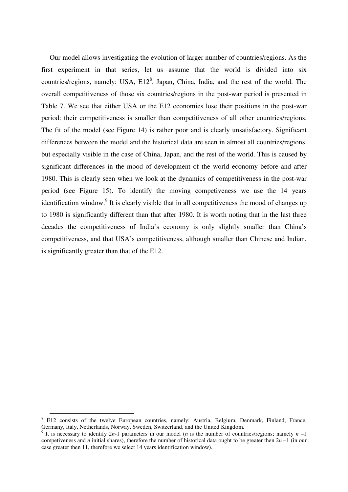Our model allows investigating the evolution of larger number of countries/regions. As the first experiment in that series, let us assume that the world is divided into six countries/regions, namely: USA,  $E12^8$ , Japan, China, India, and the rest of the world. The overall competitiveness of those six countries/regions in the post-war period is presented in Table 7. We see that either USA or the E12 economies lose their positions in the post-war period: their competitiveness is smaller than competitiveness of all other countries/regions. The fit of the model (see Figure 14) is rather poor and is clearly unsatisfactory. Significant differences between the model and the historical data are seen in almost all countries/regions, but especially visible in the case of China, Japan, and the rest of the world. This is caused by significant differences in the mood of development of the world economy before and after 1980. This is clearly seen when we look at the dynamics of competitiveness in the post-war period (see Figure 15). To identify the moving competiveness we use the 14 years identification window.<sup>9</sup> It is clearly visible that in all competitiveness the mood of changes up to 1980 is significantly different than that after 1980. It is worth noting that in the last three decades the competitiveness of India's economy is only slightly smaller than China's competitiveness, and that USA's competitiveness, although smaller than Chinese and Indian, is significantly greater than that of the E12.

 $\overline{a}$ 

<sup>&</sup>lt;sup>8</sup> E12 consists of the twelve European countries, namely: Austria, Belgium, Denmark, Finland, France, Germany, Italy, Netherlands, Norway, Sweden, Switzerland, and the United Kingdom.

<sup>&</sup>lt;sup>9</sup> It is necessary to identify 2*n*-1 parameters in our model (*n* is the number of countries/regions; namely  $n-1$ competiveness and *n* initial shares), therefore the number of historical data ought to be greater then  $2n - 1$  (in our case greater then 11, therefore we select 14 years identification window).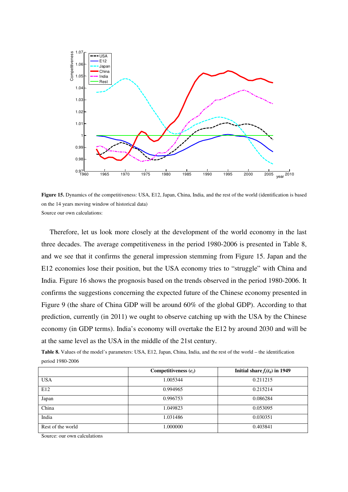

**Figure 15.** Dynamics of the competitiveness: USA, E12, Japan, China, India, and the rest of the world (identification is based on the 14 years moving window of historical data) Source our own calculations:

Therefore, let us look more closely at the development of the world economy in the last three decades. The average competitiveness in the period 1980-2006 is presented in Table 8, and we see that it confirms the general impression stemming from Figure 15. Japan and the E12 economies lose their position, but the USA economy tries to "struggle" with China and India. Figure 16 shows the prognosis based on the trends observed in the period 1980-2006. It confirms the suggestions concerning the expected future of the Chinese economy presented in Figure 9 (the share of China GDP will be around 60% of the global GDP). According to that prediction, currently (in 2011) we ought to observe catching up with the USA by the Chinese economy (in GDP terms). India's economy will overtake the E12 by around 2030 and will be at the same level as the USA in the middle of the 21st century.

|                  |  |  | <b>Table 8.</b> Values of the model's parameters: USA, E12, Japan, China, India, and the rest of the world – the identification |
|------------------|--|--|---------------------------------------------------------------------------------------------------------------------------------|
| period 1980-2006 |  |  |                                                                                                                                 |

|                   | Competitiveness $(c_i)$ | Initial share $f_i(t_0)$ in 1949 |
|-------------------|-------------------------|----------------------------------|
| <b>USA</b>        | 1.005344                | 0.211215                         |
| E12               | 0.994965                | 0.215214                         |
| Japan             | 0.996753                | 0.086284                         |
| China             | 1.049823                | 0.053095                         |
| India             | 1.031486                | 0.030351                         |
| Rest of the world | 1.000000                | 0.403841                         |

Source: our own calculations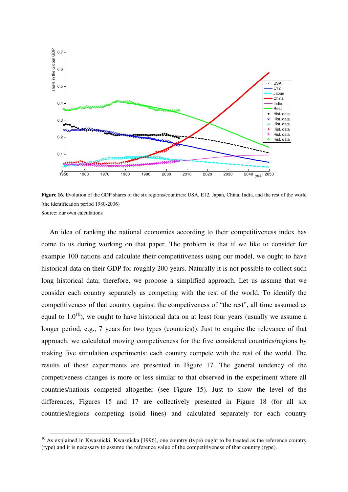

**Figure 16.** Evolution of the GDP shares of the six regions/countries: USA, E12, Japan, China, India, and the rest of the world (the identification period 1980-2006) Source: our own calculations

An idea of ranking the national economies according to their competitiveness index has come to us during working on that paper. The problem is that if we like to consider for example 100 nations and calculate their competitiveness using our model, we ought to have historical data on their GDP for roughly 200 years. Naturally it is not possible to collect such long historical data; therefore, we propose a simplified approach. Let us assume that we consider each country separately as competing with the rest of the world. To identify the competitiveness of that country (against the competiveness of "the rest", all time assumed as equal to  $1.0^{10}$ ), we ought to have historical data on at least four years (usually we assume a longer period, e.g., 7 years for two types (countries)). Just to enquire the relevance of that approach, we calculated moving competiveness for the five considered countries/regions by making five simulation experiments: each country compete with the rest of the world. The results of those experiments are presented in Figure 17. The general tendency of the competiveness changes is more or less similar to that observed in the experiment where all countries/nations competed altogether (see Figure 15). Just to show the level of the differences, Figures 15 and 17 are collectively presented in Figure 18 (for all six countries/regions competing (solid lines) and calculated separately for each country

 $\overline{a}$ 

 $10$  As explained in Kwasnicki, Kwasnicka [1996], one country (type) ought to be treated as the reference country (type) and it is necessary to assume the reference value of the competitiveness of that country (type).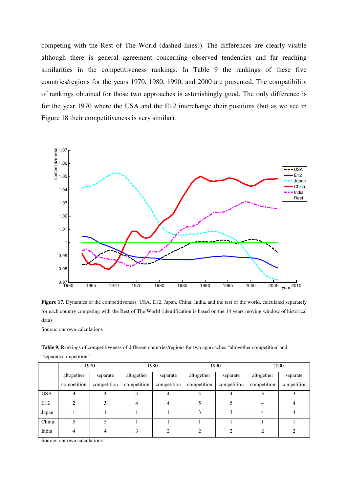competing with the Rest of The World (dashed lines)). The differences are clearly visible although there is general agreement concerning observed tendencies and far reaching similarities in the competitiveness rankings. In Table 9 the rankings of these five countries/regions for the years 1970, 1980, 1990, and 2000 are presented. The compatibility of rankings obtained for those two approaches is astonishingly good. The only difference is for the year 1970 where the USA and the E12 interchange their positions (but as we see in Figure 18 their competitiveness is very similar).



**Figure 17.** Dynamics of the competitiveness: USA, E12, Japan, China, India, and the rest of the world, calculated separately for each country competing with the Rest of The World (identification is based on the 14 years moving window of historical data)

Source: our own calculations

**Table 9.** Rankings of competitiveness of different countries/regions for two approaches "altogether competition"and "separate competition"

|            |             | 1970        | 1980        |             |             | 1990        | 2000        |             |
|------------|-------------|-------------|-------------|-------------|-------------|-------------|-------------|-------------|
|            | altogether  | separate    | altogether  | separate    | altogether  | separate    | altogether  | separate    |
|            | competition | competition | competition | competition | competition | competition | competition | competition |
| <b>USA</b> |             |             |             |             |             |             |             |             |
| E12        | 2           | 3           |             | 4           |             |             | 4           |             |
| Japan      |             |             |             |             | 3           | 3           | 4           |             |
| China      |             |             |             |             |             |             |             |             |
| India      | 4           | 4           | ٩           | ∍           | ◠           | ◠           | ∍           | ി           |

Source: our own calculations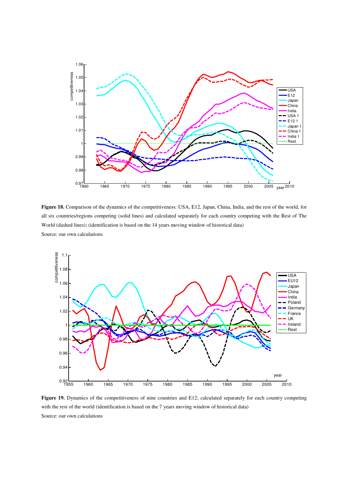

**Figure 18.** Comparison of the dynamics of the competitiveness: USA, E12, Japan, China, India, and the rest of the world, for all six countries/regions competing (solid lines) and calculated separately for each country competing with the Rest of The World (dashed lines); (identification is based on the 14 years moving window of historical data) Source: our own calculations



Figure 19. Dynamics of the competitiveness of nine countries and E12; calculated separately for each country competing with the rest of the world (identification is based on the 7 years moving window of historical data) Source: our own calculations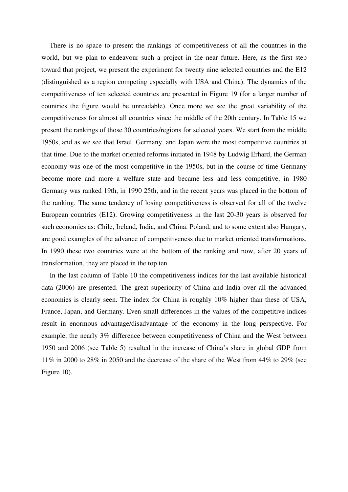There is no space to present the rankings of competitiveness of all the countries in the world, but we plan to endeavour such a project in the near future. Here, as the first step toward that project, we present the experiment for twenty nine selected countries and the E12 (distinguished as a region competing especially with USA and China). The dynamics of the competitiveness of ten selected countries are presented in Figure 19 (for a larger number of countries the figure would be unreadable). Once more we see the great variability of the competitiveness for almost all countries since the middle of the 20th century. In Table 15 we present the rankings of those 30 countries/regions for selected years. We start from the middle 1950s, and as we see that Israel, Germany, and Japan were the most competitive countries at that time. Due to the market oriented reforms initiated in 1948 by Ludwig Erhard, the German economy was one of the most competitive in the 1950s, but in the course of time Germany become more and more a welfare state and became less and less competitive, in 1980 Germany was ranked 19th, in 1990 25th, and in the recent years was placed in the bottom of the ranking. The same tendency of losing competitiveness is observed for all of the twelve European countries (E12). Growing competitiveness in the last 20-30 years is observed for such economies as: Chile, Ireland, India, and China. Poland, and to some extent also Hungary, are good examples of the advance of competitiveness due to market oriented transformations. In 1990 these two countries were at the bottom of the ranking and now, after 20 years of transformation, they are placed in the top ten .

In the last column of Table 10 the competitiveness indices for the last available historical data (2006) are presented. The great superiority of China and India over all the advanced economies is clearly seen. The index for China is roughly 10% higher than these of USA, France, Japan, and Germany. Even small differences in the values of the competitive indices result in enormous advantage/disadvantage of the economy in the long perspective. For example, the nearly 3% difference between competitiveness of China and the West between 1950 and 2006 (see Table 5) resulted in the increase of China's share in global GDP from 11% in 2000 to 28% in 2050 and the decrease of the share of the West from 44% to 29% (see Figure 10).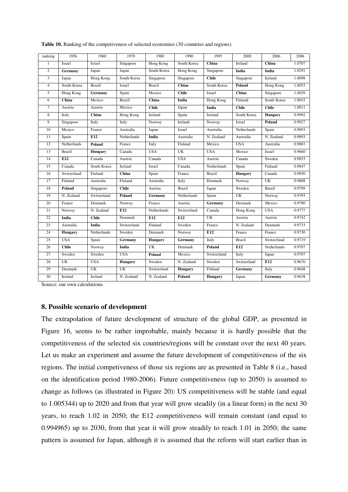| ranking        | 1956           | 1960           | 1970               | 1980           | 1990           | 1995             | 2000                     | 2006           | 2006   |
|----------------|----------------|----------------|--------------------|----------------|----------------|------------------|--------------------------|----------------|--------|
| $\mathbf{1}$   | Israel         | Israel         | Singapore          | Hong Kong      | South Korea    | China            | Ireland                  | China          | 1.0707 |
| $\overline{c}$ | Germany        | Japan          | Japan              | South Korea    | Hong Kong      | Singapore        | India                    | India          | 1.0291 |
| 3              | Japan          | Hong Kong      | South Korea        | Singapore      | Singapore      | <b>Chile</b>     | Singapore                | Ireland        | 1.0098 |
| $\overline{4}$ | South Korea    | <b>Brazil</b>  | Israel             | <b>Brazil</b>  | China          | South Korea      | <b>Poland</b>            | Hong Kong      | 1.0053 |
| 5              | Hong Kong      | <b>Germany</b> | Spain              | Mexico         | <b>Chile</b>   | Israel           | China                    | Singapore      | 1.0029 |
| 6              | China          | Mexico         | Brazil             | China          | India          | <b>Hong Kong</b> | Finland                  | South Korea    | 1.0015 |
| $\overline{7}$ | Austria        | Austria        | Mexico             | <b>Chile</b>   | Japan          | India            | <b>Chile</b>             | <b>Chile</b>   | 1.0011 |
| 8              | Italy          | China          | Hong Kong          | Ireland        | Spain          | Ireland          | South Korea              | <b>Hungary</b> | 0.9992 |
| 9              | Singapore      | Italy          | Italy              | Norway         | Ireland        | Norway           | Israel                   | Poland         | 0.9927 |
| 10             | Mexico         | France         | Australia          | Japan          | Israel         | Australia        | Netherlands              | Spain          | 0.9893 |
| 11             | Spain          | E12            | <b>Netherlands</b> | India          | Australia      | N. Zealand       | Australia                | N. Zealand     | 0.9893 |
| 12             | Netherlands    | Poland         | France             | Italy          | Finland        | Mexico           | <b>USA</b>               | Australia      | 0.9881 |
| 13             | <b>Brazil</b>  | <b>Hungary</b> | Canada             | <b>USA</b>     | UK             | <b>USA</b>       | Mexico                   | Israel         | 0.9860 |
| 14             | E12            | Canada         | Austria            | Canada         | <b>USA</b>     | Austria          | Canada                   | Sweden         | 0.9853 |
| 15             | Canada         | South Korea    | Ireland            | Israel         | Canada         | Netherlands      | Spain                    | Finland        | 0.9847 |
| 16             | Switzerland    | Finland        | China              | Spain          | France         | <b>Brazil</b>    | <b>Hungary</b>           | Canada         | 0.9830 |
| 17             | Finland        | Australia      | Finland            | Australia      | Italy          | Denmark          | Norway                   | UK             | 0.9808 |
| 18             | Poland         | Singapore      | <b>Chile</b>       | Austria        | <b>Brazil</b>  | Japan            | Sweden                   | <b>Brazil</b>  | 0.9799 |
| 19             | N. Zealand     | Switzerland    | Poland             | Germany        | Netherlands    | Spain            | UK                       | Norway         | 0.9793 |
| 20             | France         | Denmark        | Norway             | France         | Austria        | Germany          | Denmark                  | Mexico         | 0.9790 |
| 21             | Norway         | N. Zealand     | E12                | Netherlands    | Switzerland    | Canada           | Hong Kong                | <b>USA</b>     | 0.9777 |
| 22             | India          | <b>Chile</b>   | Denmark            | E12            | E12            | UK               | Austria                  | Austria        | 0.9742 |
| 23             | Australia      | India          | Switzerland        | Finland        | Sweden         | France           | $\overline{N}$ . Zealand | Denmark        | 0.9733 |
| 24             | <b>Hungary</b> | Netherlands    | Sweden             | Denmark        | Norway         | E12              | France                   | France         | 0.9730 |
| 25             | <b>USA</b>     | Spain          | Germany            | <b>Hungary</b> | Germany        | Italy            | <b>Brazil</b>            | Switzerland    | 0.9719 |
| 26             | <b>Chile</b>   | Norway         | India              | UK             | Denmark        | Poland           | E12                      | Netherlands    | 0.9707 |
| 27             | Sweden         | Sweden         | <b>USA</b>         | Poland         | Mexico         | Switzerland      | Italy                    | Japan          | 0.9707 |
| 28             | UK             | <b>USA</b>     | <b>Hungary</b>     | Sweden         | N. Zealand     | Sweden           | Switzerland              | E12            | 0.9670 |
| 29             | Denmark        | UK             | UK                 | Switzerland    | <b>Hungary</b> | Finland          | Germany                  | Italy          | 0.9648 |
| 30             | Ireland        | Ireland        | N. Zealand         | N. Zealand     | Poland         | <b>Hungary</b>   | Japan                    | Germany        | 0.9638 |

**Table 10.** Ranking of the competiveness of selected economies (30 countries and regions)

Source: our own calculations

#### **8. Possible scenario of development**

The extrapolation of future development of structure of the global GDP, as presented in Figure 16, seems to be rather improbable, mainly because it is hardly possible that the competitiveness of the selected six countries/regions will be constant over the next 40 years. Let us make an experiment and assume the future development of competitiveness of the six regions. The initial competiveness of those six regions are as presented in Table 8 (i.e., based on the identification period 1980-2006). Future competitiveness (up to 2050) is assumed to change as follows (as illustrated in Figure 20): US competitiveness will be stable (and equal to 1.005344) up to 2020 and from that year will grow steadily (in a linear form) in the next 30 years, to reach 1.02 in 2050; the E12 competitiveness will remain constant (and equal to 0.994965) up to 2030, from that year it will grow steadily to reach 1.01 in 2050; the same pattern is assumed for Japan, although it is assumed that the reform will start earlier than in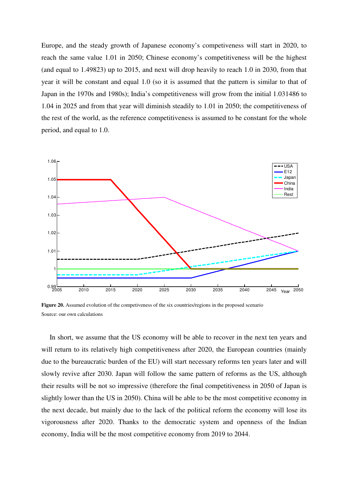Europe, and the steady growth of Japanese economy's competiveness will start in 2020, to reach the same value 1.01 in 2050; Chinese economy's competitiveness will be the highest (and equal to 1.49823) up to 2015, and next will drop heavily to reach 1.0 in 2030, from that year it will be constant and equal 1.0 (so it is assumed that the pattern is similar to that of Japan in the 1970s and 1980s); India's competitiveness will grow from the initial 1.031486 to 1.04 in 2025 and from that year will diminish steadily to 1.01 in 2050; the competitiveness of the rest of the world, as the reference competitiveness is assumed to be constant for the whole period, and equal to 1.0.



**Figure 20.** Assumed evolution of the competiveness of the six countries/regions in the proposed scenario Source: our own calculations

In short, we assume that the US economy will be able to recover in the next ten years and will return to its relatively high competitiveness after 2020, the European countries (mainly due to the bureaucratic burden of the EU) will start necessary reforms ten years later and will slowly revive after 2030. Japan will follow the same pattern of reforms as the US, although their results will be not so impressive (therefore the final competitiveness in 2050 of Japan is slightly lower than the US in 2050). China will be able to be the most competitive economy in the next decade, but mainly due to the lack of the political reform the economy will lose its vigorousness after 2020. Thanks to the democratic system and openness of the Indian economy, India will be the most competitive economy from 2019 to 2044.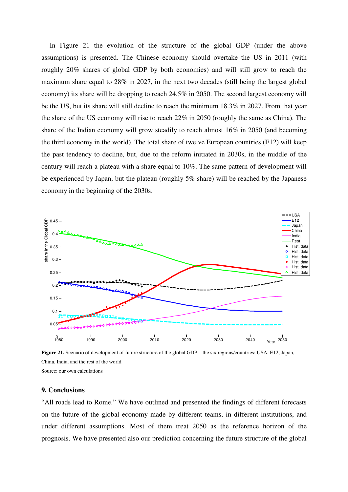In Figure 21 the evolution of the structure of the global GDP (under the above assumptions) is presented. The Chinese economy should overtake the US in 2011 (with roughly 20% shares of global GDP by both economies) and will still grow to reach the maximum share equal to 28% in 2027, in the next two decades (still being the largest global economy) its share will be dropping to reach 24.5% in 2050. The second largest economy will be the US, but its share will still decline to reach the minimum 18.3% in 2027. From that year the share of the US economy will rise to reach 22% in 2050 (roughly the same as China). The share of the Indian economy will grow steadily to reach almost 16% in 2050 (and becoming the third economy in the world). The total share of twelve European countries (E12) will keep the past tendency to decline, but, due to the reform initiated in 2030s, in the middle of the century will reach a plateau with a share equal to 10%. The same pattern of development will be experienced by Japan, but the plateau (roughly 5% share) will be reached by the Japanese economy in the beginning of the 2030s.



**Figure 21.** Scenario of development of future structure of the global GDP – the six regions/countries: USA, E12, Japan, China, India, and the rest of the world Source: our own calculations

# **9. Conclusions**

"All roads lead to Rome." We have outlined and presented the findings of different forecasts on the future of the global economy made by different teams, in different institutions, and under different assumptions. Most of them treat 2050 as the reference horizon of the prognosis. We have presented also our prediction concerning the future structure of the global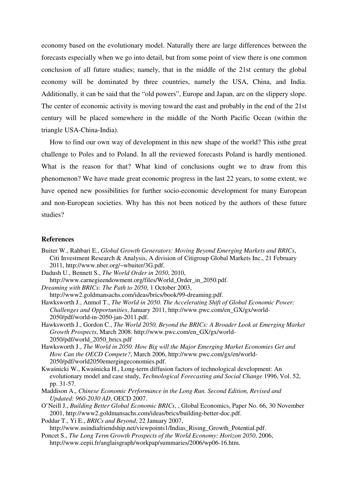economy based on the evolutionary model. Naturally there are large differences between the forecasts especially when we go into detail, but from some point of view there is one common conclusion of all future studies; namely, that in the middle of the 21st century the global economy will be dominated by three countries, namely the USA, China, and India. Additionally, it can be said that the "old powers", Europe and Japan, are on the slippery slope. The center of economic activity is moving toward the east and probably in the end of the 21st century will be placed somewhere in the middle of the North Pacific Ocean (within the triangle USA-China-India).

How to find our own way of development in this new shape of the world? This isthe great challenge to Poles and to Poland. In all the reviewed forecasts Poland is hardly mentioned. What is the reason for that? What kind of conclusions ought we to draw from this phenomenon? We have made great economic progress in the last 22 years, to some extent, we have opened new possibilities for further socio-economic development for many European and non-European societies. Why has this not been noticed by the authors of these future studies?

## **References**

- Buiter W., Rahbari E., *Global Growth Generators: Moving Beyond Emerging Markets and BRICs*, Citi Investment Research & Analysis, A division of Citigroup Global Markets Inc., 21 February 2011, http://www.nber.org/~wbuiter/3G.pdf.
- Dadush U., Bennett S., *The World Order in 2050*, 2010,
- http://www.carnegieendowment.org/files/World\_Order\_in\_2050.pdf.

*Dreaming with BRICs: The Path to 2050*, 1 October 2003,

- http://www2.goldmansachs.com/ideas/brics/book/99-dreaming.pdf. Hawksworth J., Anmol T., *The World in 2050. The Accelerating Shift of Global Economic Power: Challenges and Opportunities*, January 2011, http://www.pwc.com/en\_GX/gx/world-2050/pdf/world-in-2050-jan-2011.pdf.
- Hawksworth J., Gordon C., *The World 2050, Beyond the BRICs: A Broader Look at Emerging Market Growth Prospects*, March 2008. http://www.pwc.com/en\_GX/gx/world-2050/pdf/world\_2050\_brics.pdf
- Hawksworth J., *The World in 2050. How Big will the Major Emerging Market Economies Get and How Can the OECD Compete?*, March 2006, http://www.pwc.com/gx/en/world-2050/pdf/world2050emergingeconomies.pdf.
- Kwaśnicki W., Kwaśnicka H., Long-term diffusion factors of technological development: An evolutionary model and case study, *Technological Forecasting and Social Change* 1996, Vol. 52, pp. 31-57.
- Maddison A., *Chinese Economic Performance in the Long Run. Second Edition, Revised and Updated: 960-2030 AD*, OECD 2007.
- O'Neill J., *Building Better Global Economic BRICs*, , Global Economics, Paper No. 66, 30 November 2001, http://www2.goldmansachs.com/ideas/brics/building-better-doc.pdf.
- Poddar T., Yi E., *BRICs and Beyond*, 22 January 2007,
- http://www.usindiafriendship.net/viewpoints1/Indias\_Rising\_Growth\_Potential.pdf. Poncet S., *The Long Term Growth Prospects of the World Economy: Horizon 2050*, 2006,
	- http://www.cepii.fr/anglaisgraph/workpap/summaries/2006/wp06-16.htm.